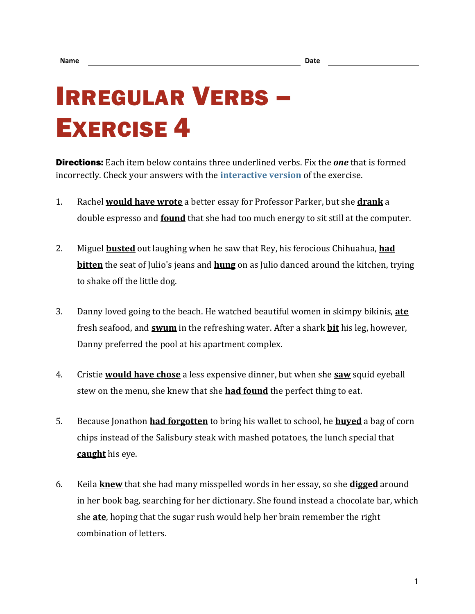## IRREGULAR VERBS – EXERCISE 4

Directions: Each item below contains three underlined verbs. Fix the *one* that is formed incorrectly. Check your answers with the **[interactive version](https://chompchomp.com/irregular04/)** of the exercise.

- 1. Rachel **would have wrote** a better essay for Professor Parker, but she **drank** a double espresso and **found** that she had too much energy to sit still at the computer.
- 2. Miguel **busted** out laughing when he saw that Rey, his ferocious Chihuahua, **had bitten** the seat of Julio's jeans and **hung** on as Julio danced around the kitchen, trying to shake off the little dog.
- 3. Danny loved going to the beach. He watched beautiful women in skimpy bikinis, **ate** fresh seafood, and **swum** in the refreshing water. After a shark **bit** his leg, however, Danny preferred the pool at his apartment complex.
- 4. Cristie **would have chose** a less expensive dinner, but when she **saw** squid eyeball stew on the menu, she knew that she **had found** the perfect thing to eat.
- 5. Because Jonathon **had forgotten** to bring his wallet to school, he **buyed** a bag of corn chips instead of the Salisbury steak with mashed potatoes, the lunch special that **caught** his eye.
- 6. Keila **knew** that she had many misspelled words in her essay, so she **digged** around in her book bag, searching for her dictionary. She found instead a chocolate bar, which she **ate**, hoping that the sugar rush would help her brain remember the right combination of letters.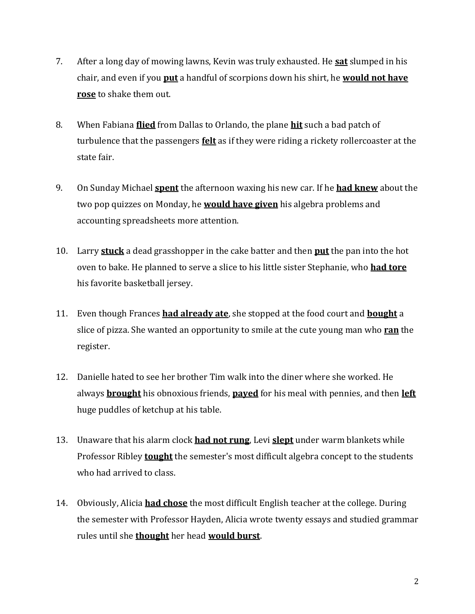- 7. After a long day of mowing lawns, Kevin was truly exhausted. He **sat** slumped in his chair, and even if you **put** a handful of scorpions down his shirt, he **would not have rose** to shake them out.
- 8. When Fabiana **flied** from Dallas to Orlando, the plane **hit** such a bad patch of turbulence that the passengers **felt** as if they were riding a rickety rollercoaster at the state fair.
- 9. On Sunday Michael **spent** the afternoon waxing his new car. If he **had knew** about the two pop quizzes on Monday, he **would have given** his algebra problems and accounting spreadsheets more attention.
- 10. Larry **stuck** a dead grasshopper in the cake batter and then **put** the pan into the hot oven to bake. He planned to serve a slice to his little sister Stephanie, who **had tore** his favorite basketball jersey.
- 11. Even though Frances **had already ate**, she stopped at the food court and **bought** a slice of pizza. She wanted an opportunity to smile at the cute young man who **ran** the register.
- 12. Danielle hated to see her brother Tim walk into the diner where she worked. He always **brought** his obnoxious friends, **payed** for his meal with pennies, and then **left** huge puddles of ketchup at his table.
- 13. Unaware that his alarm clock **had not rung**, Levi **slept** under warm blankets while Professor Ribley **tought** the semester's most difficult algebra concept to the students who had arrived to class.
- 14. Obviously, Alicia **had chose** the most difficult English teacher at the college. During the semester with Professor Hayden, Alicia wrote twenty essays and studied grammar rules until she **thought** her head **would burst**.